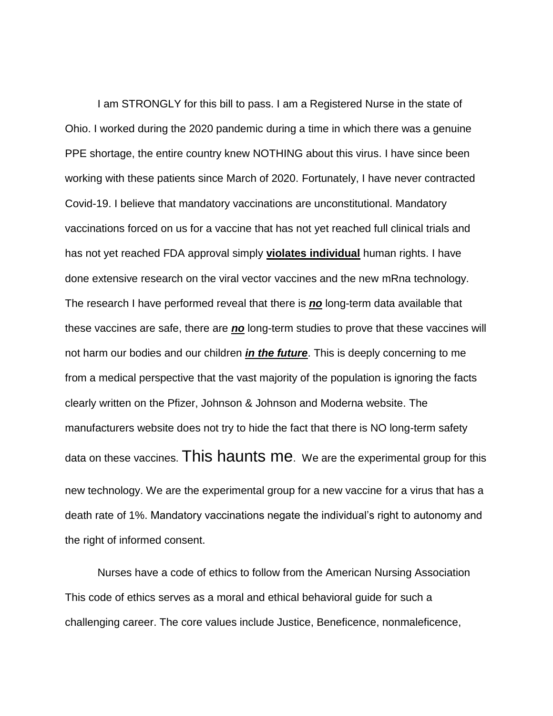I am STRONGLY for this bill to pass. I am a Registered Nurse in the state of Ohio. I worked during the 2020 pandemic during a time in which there was a genuine PPE shortage, the entire country knew NOTHING about this virus. I have since been working with these patients since March of 2020. Fortunately, I have never contracted Covid-19. I believe that mandatory vaccinations are unconstitutional. Mandatory vaccinations forced on us for a vaccine that has not yet reached full clinical trials and has not yet reached FDA approval simply **violates individual** human rights. I have done extensive research on the viral vector vaccines and the new mRna technology. The research I have performed reveal that there is *no* long-term data available that these vaccines are safe, there are *no* long-term studies to prove that these vaccines will not harm our bodies and our children *in the future*. This is deeply concerning to me from a medical perspective that the vast majority of the population is ignoring the facts clearly written on the Pfizer, Johnson & Johnson and Moderna website. The manufacturers website does not try to hide the fact that there is NO long-term safety data on these vaccines. This haunts me. We are the experimental group for this new technology. We are the experimental group for a new vaccine for a virus that has a death rate of 1%. Mandatory vaccinations negate the individual's right to autonomy and the right of informed consent.

Nurses have a code of ethics to follow from the American Nursing Association This code of ethics serves as a moral and ethical behavioral guide for such a challenging career. The core values include Justice, Beneficence, nonmaleficence,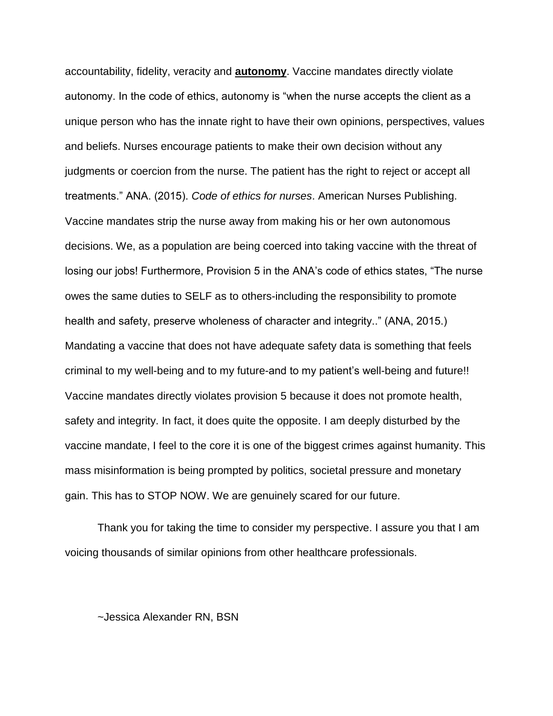accountability, fidelity, veracity and **autonomy**. Vaccine mandates directly violate autonomy. In the code of ethics, autonomy is "when the nurse accepts the client as a unique person who has the innate right to have their own opinions, perspectives, values and beliefs. Nurses encourage patients to make their own decision without any judgments or coercion from the nurse. The patient has the right to reject or accept all treatments." ANA. (2015). *Code of ethics for nurses*. American Nurses Publishing. Vaccine mandates strip the nurse away from making his or her own autonomous decisions. We, as a population are being coerced into taking vaccine with the threat of losing our jobs! Furthermore, Provision 5 in the ANA's code of ethics states, "The nurse owes the same duties to SELF as to others-including the responsibility to promote health and safety, preserve wholeness of character and integrity.." (ANA, 2015.) Mandating a vaccine that does not have adequate safety data is something that feels criminal to my well-being and to my future-and to my patient's well-being and future!! Vaccine mandates directly violates provision 5 because it does not promote health, safety and integrity. In fact, it does quite the opposite. I am deeply disturbed by the vaccine mandate, I feel to the core it is one of the biggest crimes against humanity. This mass misinformation is being prompted by politics, societal pressure and monetary gain. This has to STOP NOW. We are genuinely scared for our future.

Thank you for taking the time to consider my perspective. I assure you that I am voicing thousands of similar opinions from other healthcare professionals.

~Jessica Alexander RN, BSN